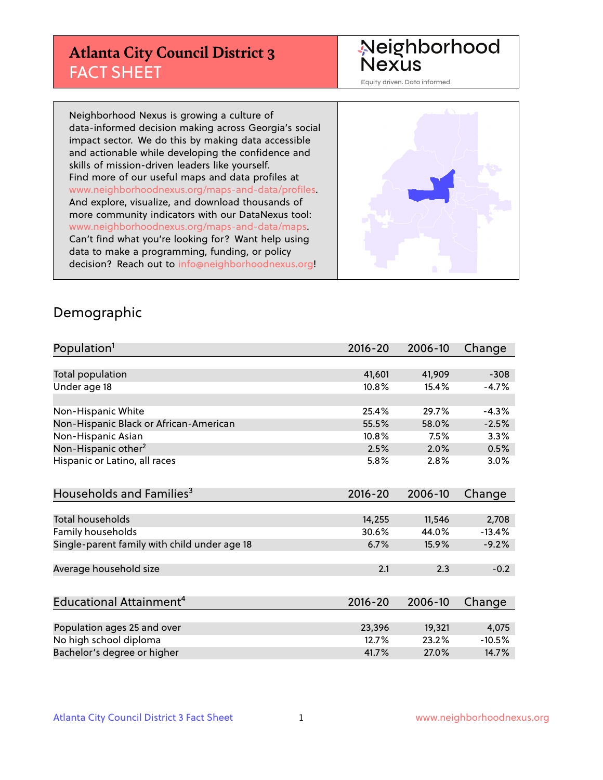# **Atlanta City Council District 3** FACT SHEET

# Neighborhood<br>Nexus

Equity driven. Data informed.

Neighborhood Nexus is growing a culture of data-informed decision making across Georgia's social impact sector. We do this by making data accessible and actionable while developing the confidence and skills of mission-driven leaders like yourself. Find more of our useful maps and data profiles at www.neighborhoodnexus.org/maps-and-data/profiles. And explore, visualize, and download thousands of more community indicators with our DataNexus tool: www.neighborhoodnexus.org/maps-and-data/maps. Can't find what you're looking for? Want help using data to make a programming, funding, or policy decision? Reach out to [info@neighborhoodnexus.org!](mailto:info@neighborhoodnexus.org)



#### Demographic

| Population <sup>1</sup>                      | $2016 - 20$ | 2006-10 | Change   |
|----------------------------------------------|-------------|---------|----------|
|                                              |             |         |          |
| Total population                             | 41,601      | 41,909  | $-308$   |
| Under age 18                                 | 10.8%       | 15.4%   | $-4.7%$  |
|                                              |             |         |          |
| Non-Hispanic White                           | 25.4%       | 29.7%   | $-4.3%$  |
| Non-Hispanic Black or African-American       | 55.5%       | 58.0%   | $-2.5%$  |
| Non-Hispanic Asian                           | $10.8\%$    | 7.5%    | 3.3%     |
| Non-Hispanic other <sup>2</sup>              | 2.5%        | 2.0%    | 0.5%     |
| Hispanic or Latino, all races                | 5.8%        | 2.8%    | 3.0%     |
|                                              |             |         |          |
| Households and Families <sup>3</sup>         | $2016 - 20$ | 2006-10 | Change   |
|                                              |             |         |          |
| <b>Total households</b>                      | 14,255      | 11,546  | 2,708    |
| <b>Family households</b>                     | 30.6%       | 44.0%   | $-13.4%$ |
| Single-parent family with child under age 18 | 6.7%        | 15.9%   | $-9.2%$  |
|                                              |             |         |          |
| Average household size                       | 2.1         | 2.3     | $-0.2$   |
|                                              |             |         |          |
| Educational Attainment <sup>4</sup>          | $2016 - 20$ | 2006-10 | Change   |
|                                              |             |         |          |
| Population ages 25 and over                  | 23,396      | 19,321  | 4,075    |
| No high school diploma                       | 12.7%       | 23.2%   | $-10.5%$ |
| Bachelor's degree or higher                  | 41.7%       | 27.0%   | 14.7%    |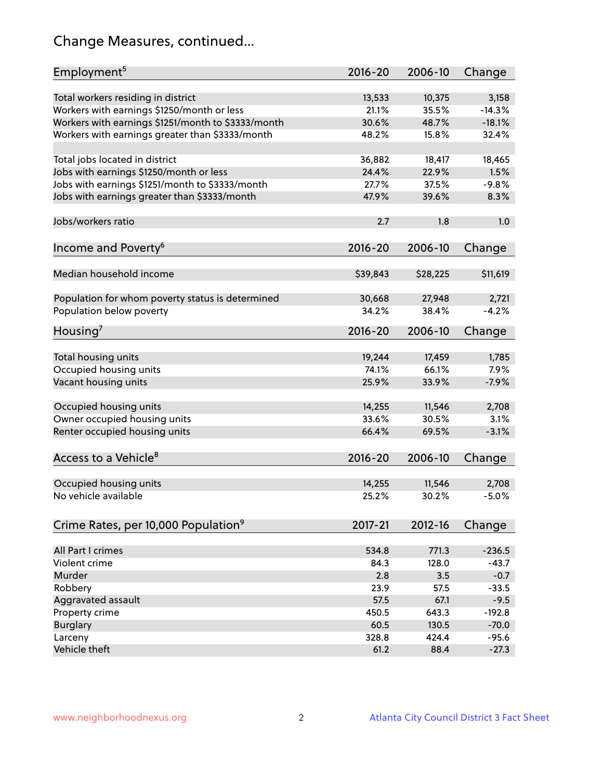# Change Measures, continued...

| Employment <sup>5</sup>                            | $2016 - 20$     | 2006-10         | Change           |
|----------------------------------------------------|-----------------|-----------------|------------------|
|                                                    |                 |                 |                  |
| Total workers residing in district                 | 13,533          | 10,375<br>35.5% | 3,158            |
| Workers with earnings \$1250/month or less         | 21.1%<br>30.6%  |                 | $-14.3%$         |
| Workers with earnings \$1251/month to \$3333/month |                 | 48.7%           | $-18.1%$         |
| Workers with earnings greater than \$3333/month    | 48.2%           | 15.8%           | 32.4%            |
| Total jobs located in district                     | 36,882          | 18,417          | 18,465           |
| Jobs with earnings \$1250/month or less            | 24.4%           | 22.9%           | 1.5%             |
| Jobs with earnings \$1251/month to \$3333/month    | 27.7%           | 37.5%           | $-9.8%$          |
| Jobs with earnings greater than \$3333/month       | 47.9%           | 39.6%           | 8.3%             |
|                                                    |                 |                 |                  |
| Jobs/workers ratio                                 | 2.7             | 1.8             | 1.0              |
|                                                    |                 |                 |                  |
| Income and Poverty <sup>6</sup>                    | 2016-20         | 2006-10         | Change           |
|                                                    |                 |                 |                  |
| Median household income                            | \$39,843        | \$28,225        | \$11,619         |
|                                                    |                 | 27,948          |                  |
| Population for whom poverty status is determined   | 30,668<br>34.2% | 38.4%           | 2,721            |
| Population below poverty                           |                 |                 | $-4.2%$          |
| Housing <sup>7</sup>                               | $2016 - 20$     | 2006-10         | Change           |
|                                                    |                 |                 |                  |
| Total housing units                                | 19,244          | 17,459          | 1,785            |
| Occupied housing units                             | 74.1%           | 66.1%           | 7.9%             |
| Vacant housing units                               | 25.9%           | 33.9%           | $-7.9%$          |
|                                                    |                 |                 |                  |
| Occupied housing units                             | 14,255          | 11,546          | 2,708            |
| Owner occupied housing units                       | 33.6%           | 30.5%           | 3.1%             |
| Renter occupied housing units                      | 66.4%           | 69.5%           | $-3.1%$          |
|                                                    |                 |                 |                  |
| Access to a Vehicle <sup>8</sup>                   | $2016 - 20$     | 2006-10         | Change           |
|                                                    |                 |                 |                  |
| Occupied housing units<br>No vehicle available     | 14,255<br>25.2% | 11,546<br>30.2% | 2,708<br>$-5.0%$ |
|                                                    |                 |                 |                  |
| Crime Rates, per 10,000 Population <sup>9</sup>    | 2017-21         | 2012-16         | Change           |
|                                                    |                 |                 |                  |
| All Part I crimes                                  | 534.8           | 771.3           | $-236.5$         |
| Violent crime                                      | 84.3            | 128.0           | $-43.7$          |
| Murder                                             | 2.8             | 3.5             | $-0.7$           |
| Robbery                                            | 23.9            | 57.5            | $-33.5$          |
| Aggravated assault                                 | 57.5            | 67.1            | $-9.5$           |
| Property crime                                     | 450.5           | 643.3           | $-192.8$         |
| <b>Burglary</b>                                    | 60.5            | 130.5           | $-70.0$          |
| Larceny                                            | 328.8           | 424.4           | $-95.6$          |
| Vehicle theft                                      | 61.2            | 88.4            | $-27.3$          |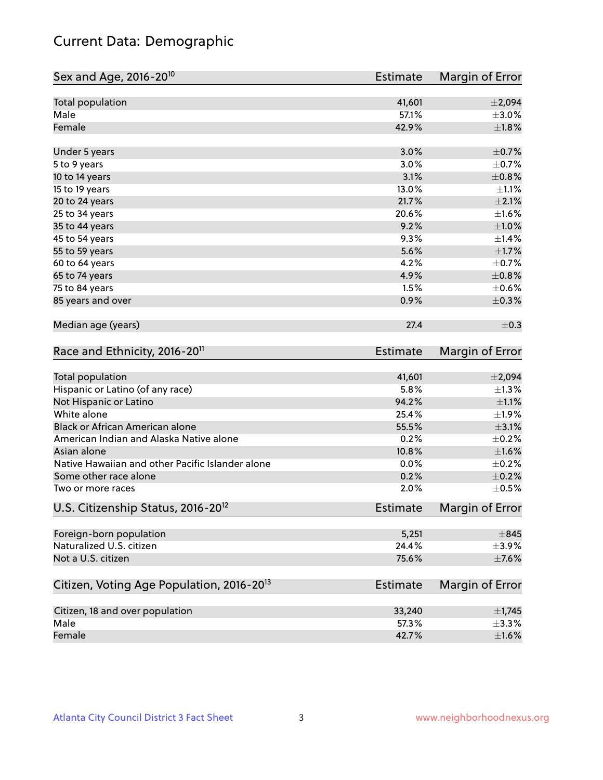# Current Data: Demographic

| Sex and Age, 2016-20 <sup>10</sup>                    | <b>Estimate</b> | Margin of Error |
|-------------------------------------------------------|-----------------|-----------------|
| Total population                                      | 41,601          | ±2,094          |
| Male                                                  | 57.1%           | $\pm 3.0\%$     |
| Female                                                | 42.9%           | $\pm1.8\%$      |
| Under 5 years                                         | 3.0%            | $\pm$ 0.7%      |
| 5 to 9 years                                          | 3.0%            | $\pm$ 0.7%      |
| 10 to 14 years                                        | 3.1%            | $\pm 0.8\%$     |
| 15 to 19 years                                        | 13.0%           | $\pm 1.1\%$     |
| 20 to 24 years                                        | 21.7%           | $\pm 2.1\%$     |
| 25 to 34 years                                        | 20.6%           | $\pm 1.6\%$     |
| 35 to 44 years                                        | 9.2%            | $\pm 1.0\%$     |
| 45 to 54 years                                        | 9.3%            | ±1.4%           |
| 55 to 59 years                                        | 5.6%            | $\pm1.7\%$      |
| 60 to 64 years                                        | 4.2%            | $\pm$ 0.7%      |
| 65 to 74 years                                        | 4.9%            | $\pm 0.8\%$     |
| 75 to 84 years                                        | 1.5%            | $\pm$ 0.6%      |
| 85 years and over                                     | 0.9%            | $\pm$ 0.3%      |
| Median age (years)                                    | 27.4            | $\pm$ 0.3       |
| Race and Ethnicity, 2016-20 <sup>11</sup>             | <b>Estimate</b> | Margin of Error |
| <b>Total population</b>                               | 41,601          | ±2,094          |
| Hispanic or Latino (of any race)                      | 5.8%            | $\pm 1.3\%$     |
| Not Hispanic or Latino                                | 94.2%           | $\pm 1.1\%$     |
| White alone                                           | 25.4%           | $\pm$ 1.9%      |
| Black or African American alone                       | 55.5%           | $\pm 3.1\%$     |
| American Indian and Alaska Native alone               | 0.2%            | $\pm$ 0.2%      |
| Asian alone                                           | 10.8%           | $\pm1.6\%$      |
| Native Hawaiian and other Pacific Islander alone      | 0.0%            | $\pm$ 0.2%      |
| Some other race alone                                 | 0.2%            | $\pm$ 0.2%      |
| Two or more races                                     | 2.0%            | $\pm$ 0.5%      |
| U.S. Citizenship Status, 2016-20 <sup>12</sup>        | <b>Estimate</b> | Margin of Error |
| Foreign-born population                               | 5,251           | $\pm$ 845       |
| Naturalized U.S. citizen                              | 24.4%           | $\pm$ 3.9%      |
| Not a U.S. citizen                                    | 75.6%           | $\pm$ 7.6%      |
| Citizen, Voting Age Population, 2016-20 <sup>13</sup> | <b>Estimate</b> | Margin of Error |
| Citizen, 18 and over population                       | 33,240          | $\pm$ 1,745     |
| Male                                                  | 57.3%           | ±3.3%           |
| Female                                                | 42.7%           | $\pm 1.6\%$     |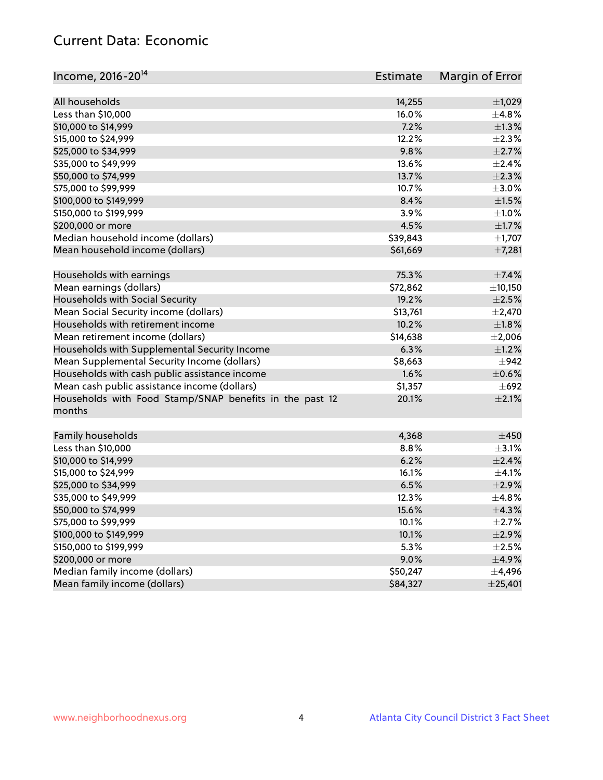# Current Data: Economic

| Income, 2016-20 <sup>14</sup>                           | Estimate        | Margin of Error |
|---------------------------------------------------------|-----------------|-----------------|
| All households                                          |                 |                 |
|                                                         | 14,255<br>16.0% | $\pm$ 1,029     |
| Less than \$10,000                                      |                 | ±4.8%           |
| \$10,000 to \$14,999                                    | 7.2%            | $\pm 1.3\%$     |
| \$15,000 to \$24,999                                    | 12.2%           | $\pm 2.3\%$     |
| \$25,000 to \$34,999                                    | 9.8%            | $\pm 2.7\%$     |
| \$35,000 to \$49,999                                    | 13.6%           | $\pm 2.4\%$     |
| \$50,000 to \$74,999                                    | 13.7%           | $\pm 2.3\%$     |
| \$75,000 to \$99,999                                    | 10.7%           | $\pm 3.0\%$     |
| \$100,000 to \$149,999                                  | 8.4%            | $\pm 1.5\%$     |
| \$150,000 to \$199,999                                  | 3.9%            | $\pm 1.0\%$     |
| \$200,000 or more                                       | 4.5%            | $\pm 1.7\%$     |
| Median household income (dollars)                       | \$39,843        | $\pm$ 1,707     |
| Mean household income (dollars)                         | \$61,669        | ±7,281          |
| Households with earnings                                | 75.3%           | $\pm$ 7.4%      |
| Mean earnings (dollars)                                 | \$72,862        | ±10,150         |
| Households with Social Security                         | 19.2%           | $\pm 2.5\%$     |
| Mean Social Security income (dollars)                   | \$13,761        | $\pm$ 2,470     |
| Households with retirement income                       | 10.2%           | $\pm1.8\%$      |
| Mean retirement income (dollars)                        | \$14,638        | $\pm 2,006$     |
| Households with Supplemental Security Income            | 6.3%            | $\pm$ 1.2%      |
| Mean Supplemental Security Income (dollars)             | \$8,663         | $\pm$ 942       |
| Households with cash public assistance income           | 1.6%            | $\pm$ 0.6%      |
| Mean cash public assistance income (dollars)            | \$1,357         | $\pm 692$       |
| Households with Food Stamp/SNAP benefits in the past 12 | 20.1%           | $\pm 2.1\%$     |
| months                                                  |                 |                 |
|                                                         |                 |                 |
| Family households                                       | 4,368           | $\pm$ 450       |
| Less than \$10,000                                      | 8.8%            | $\pm$ 3.1%      |
| \$10,000 to \$14,999                                    | 6.2%            | $\pm 2.4\%$     |
| \$15,000 to \$24,999                                    | 16.1%           | $\pm 4.1\%$     |
| \$25,000 to \$34,999                                    | 6.5%            | $\pm 2.9\%$     |
| \$35,000 to \$49,999                                    | 12.3%           | ±4.8%           |
| \$50,000 to \$74,999                                    | 15.6%           | ±4.3%           |
| \$75,000 to \$99,999                                    | 10.1%           | $\pm 2.7\%$     |
| \$100,000 to \$149,999                                  | 10.1%           | ±2.9%           |
| \$150,000 to \$199,999                                  | 5.3%            | $\pm 2.5\%$     |
| \$200,000 or more                                       | 9.0%            | $\pm$ 4.9%      |
| Median family income (dollars)                          | \$50,247        | $\pm$ 4,496     |
| Mean family income (dollars)                            | \$84,327        | ± 25,401        |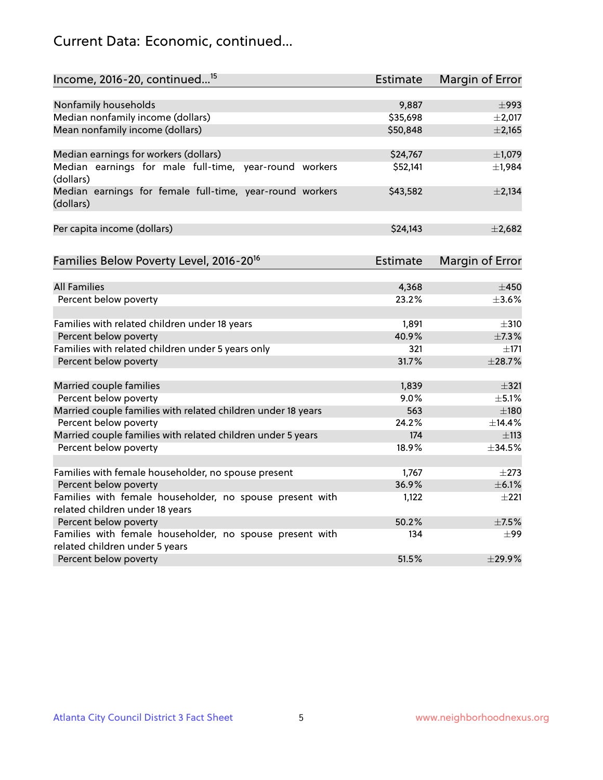# Current Data: Economic, continued...

| Income, 2016-20, continued <sup>15</sup>                                                    | <b>Estimate</b> | Margin of Error        |
|---------------------------------------------------------------------------------------------|-----------------|------------------------|
|                                                                                             |                 |                        |
| Nonfamily households                                                                        | 9,887           | $\pm$ 993              |
| Median nonfamily income (dollars)                                                           | \$35,698        | $\pm 2,017$            |
| Mean nonfamily income (dollars)                                                             | \$50,848        | $\pm 2,165$            |
| Median earnings for workers (dollars)                                                       | \$24,767        | $\pm$ 1,079            |
| Median earnings for male full-time, year-round workers<br>(dollars)                         | \$52,141        | ±1,984                 |
| Median earnings for female full-time, year-round workers<br>(dollars)                       | \$43,582        | $\pm 2,134$            |
| Per capita income (dollars)                                                                 | \$24,143        | ±2,682                 |
| Families Below Poverty Level, 2016-20 <sup>16</sup>                                         | <b>Estimate</b> | <b>Margin of Error</b> |
|                                                                                             |                 |                        |
| <b>All Families</b>                                                                         | 4,368           | $\pm 450$              |
| Percent below poverty                                                                       | 23.2%           | $\pm 3.6\%$            |
| Families with related children under 18 years                                               | 1,891           | $\pm$ 310              |
| Percent below poverty                                                                       | 40.9%           | ±7.3%                  |
| Families with related children under 5 years only                                           | 321             | $\pm$ 171              |
| Percent below poverty                                                                       | 31.7%           | ±28.7%                 |
| Married couple families                                                                     | 1,839           | $\pm$ 321              |
| Percent below poverty                                                                       | 9.0%            | $\pm$ 5.1%             |
| Married couple families with related children under 18 years                                | 563             | $\pm$ 180              |
| Percent below poverty                                                                       | 24.2%           | ±14.4%                 |
| Married couple families with related children under 5 years                                 | 174             | ±113                   |
| Percent below poverty                                                                       | 18.9%           | ±34.5%                 |
|                                                                                             |                 |                        |
| Families with female householder, no spouse present                                         | 1,767           | $\pm 273$              |
| Percent below poverty                                                                       | 36.9%           | $\pm$ 6.1%             |
| Families with female householder, no spouse present with<br>related children under 18 years | 1,122           | $\pm 221$              |
| Percent below poverty                                                                       | 50.2%           | $\pm$ 7.5%             |
| Families with female householder, no spouse present with                                    | 134             | $\pm 99$               |
| related children under 5 years                                                              |                 |                        |
| Percent below poverty                                                                       | 51.5%           | ±29.9%                 |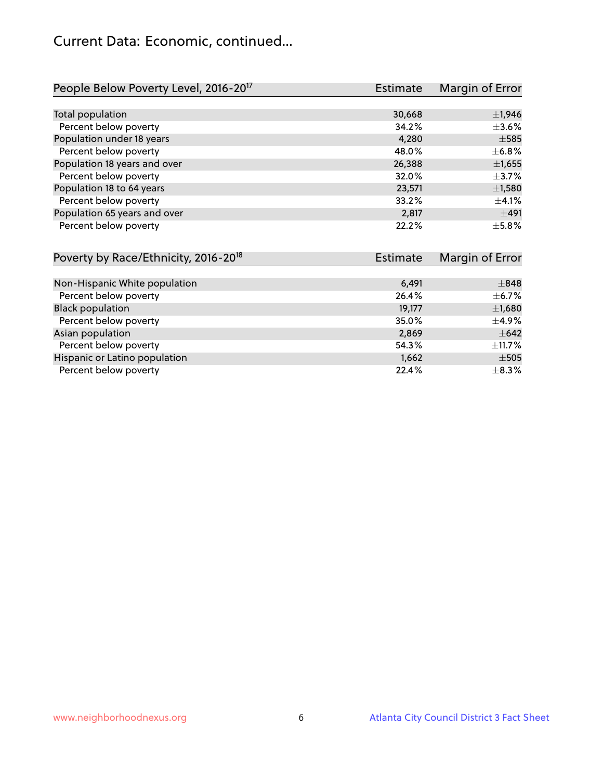## Current Data: Economic, continued...

| People Below Poverty Level, 2016-20 <sup>17</sup> | <b>Estimate</b> | Margin of Error |
|---------------------------------------------------|-----------------|-----------------|
|                                                   |                 |                 |
| Total population                                  | 30,668          | $\pm$ 1,946     |
| Percent below poverty                             | 34.2%           | $\pm 3.6\%$     |
| Population under 18 years                         | 4,280           | $\pm$ 585       |
| Percent below poverty                             | 48.0%           | ±6.8%           |
| Population 18 years and over                      | 26,388          | $\pm$ 1,655     |
| Percent below poverty                             | 32.0%           | $\pm$ 3.7%      |
| Population 18 to 64 years                         | 23,571          | $\pm$ 1,580     |
| Percent below poverty                             | 33.2%           | $\pm$ 4.1%      |
| Population 65 years and over                      | 2,817           | ±491            |
| Percent below poverty                             | 22.2%           | $\pm$ 5.8%      |

| Poverty by Race/Ethnicity, 2016-20 <sup>18</sup> | <b>Estimate</b> | Margin of Error |
|--------------------------------------------------|-----------------|-----------------|
|                                                  |                 |                 |
| Non-Hispanic White population                    | 6,491           | $\pm$ 848       |
| Percent below poverty                            | 26.4%           | $\pm$ 6.7%      |
| <b>Black population</b>                          | 19,177          | $\pm$ 1,680     |
| Percent below poverty                            | 35.0%           | $\pm$ 4.9%      |
| Asian population                                 | 2,869           | $\pm 642$       |
| Percent below poverty                            | 54.3%           | $\pm$ 11.7%     |
| Hispanic or Latino population                    | 1,662           | $\pm$ 505       |
| Percent below poverty                            | 22.4%           | $\pm$ 8.3%      |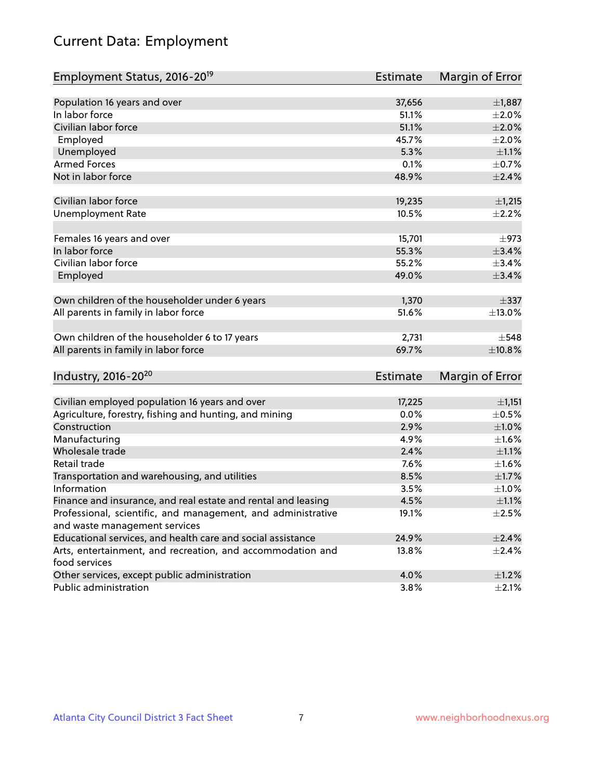# Current Data: Employment

| Employment Status, 2016-20 <sup>19</sup>                      | <b>Estimate</b> | Margin of Error |
|---------------------------------------------------------------|-----------------|-----------------|
|                                                               |                 |                 |
| Population 16 years and over                                  | 37,656          | $\pm$ 1,887     |
| In labor force                                                | 51.1%           | $\pm 2.0\%$     |
| Civilian labor force                                          | 51.1%           | $\pm 2.0\%$     |
| Employed                                                      | 45.7%           | $\pm 2.0\%$     |
| Unemployed                                                    | 5.3%            | $\pm 1.1\%$     |
| <b>Armed Forces</b>                                           | 0.1%            | $\pm$ 0.7%      |
| Not in labor force                                            | 48.9%           | $\pm 2.4\%$     |
|                                                               |                 |                 |
| Civilian labor force                                          | 19,235          | ±1,215          |
| <b>Unemployment Rate</b>                                      | 10.5%           | $\pm 2.2\%$     |
| Females 16 years and over                                     | 15,701          | $\pm$ 973       |
| In labor force                                                | 55.3%           | $\pm$ 3.4%      |
| Civilian labor force                                          | 55.2%           | ±3.4%           |
| Employed                                                      | 49.0%           | $\pm$ 3.4%      |
|                                                               |                 |                 |
| Own children of the householder under 6 years                 | 1,370           | $\pm$ 337       |
| All parents in family in labor force                          | 51.6%           | ±13.0%          |
|                                                               |                 |                 |
| Own children of the householder 6 to 17 years                 | 2,731           | $\pm$ 548       |
| All parents in family in labor force                          | 69.7%           | ±10.8%          |
|                                                               |                 |                 |
| Industry, 2016-20 <sup>20</sup>                               | <b>Estimate</b> | Margin of Error |
|                                                               |                 |                 |
| Civilian employed population 16 years and over                | 17,225          | ±1,151          |
| Agriculture, forestry, fishing and hunting, and mining        | 0.0%            | $\pm$ 0.5%      |
| Construction                                                  | 2.9%            | ±1.0%           |
| Manufacturing                                                 | 4.9%            | $\pm1.6\%$      |
| Wholesale trade                                               | 2.4%            | $\pm 1.1\%$     |
| Retail trade                                                  | 7.6%            | $\pm 1.6\%$     |
| Transportation and warehousing, and utilities                 | 8.5%            | $\pm1.7\%$      |
| Information                                                   | 3.5%            | ±1.0%           |
| Finance and insurance, and real estate and rental and leasing | 4.5%            | $\pm 1.1\%$     |
| Professional, scientific, and management, and administrative  | 19.1%           | $\pm 2.5\%$     |
| and waste management services                                 |                 |                 |
| Educational services, and health care and social assistance   | 24.9%           | ±2.4%           |
| Arts, entertainment, and recreation, and accommodation and    | 13.8%           | $\pm$ 2.4%      |
| food services                                                 |                 |                 |
| Other services, except public administration                  | 4.0%            | $\pm 1.2\%$     |
| Public administration                                         | 3.8%            | $\pm 2.1\%$     |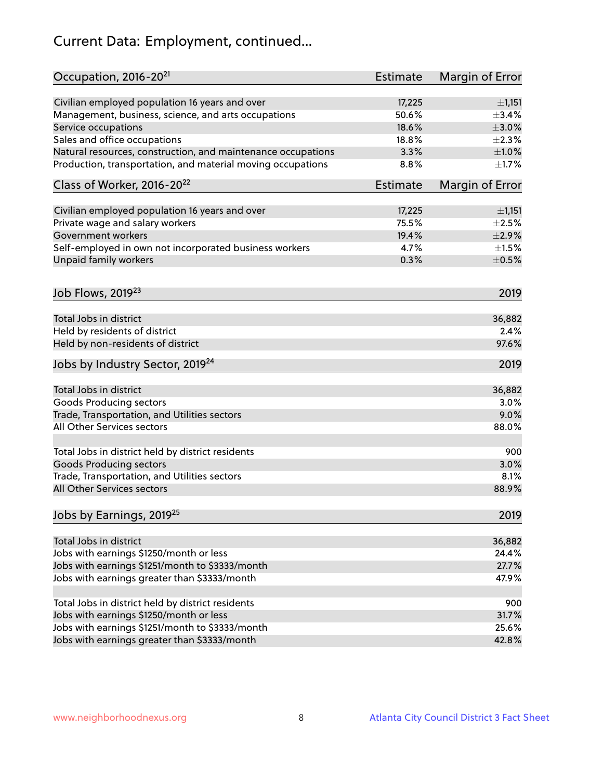# Current Data: Employment, continued...

| Occupation, 2016-20 <sup>21</sup>                            | <b>Estimate</b> | Margin of Error |
|--------------------------------------------------------------|-----------------|-----------------|
| Civilian employed population 16 years and over               | 17,225          | ±1,151          |
| Management, business, science, and arts occupations          | 50.6%           | ±3.4%           |
| Service occupations                                          | 18.6%           | $\pm 3.0\%$     |
| Sales and office occupations                                 | 18.8%           | $\pm 2.3\%$     |
| Natural resources, construction, and maintenance occupations | 3.3%            | $\pm 1.0\%$     |
| Production, transportation, and material moving occupations  | 8.8%            | $\pm 1.7\%$     |
| Class of Worker, 2016-20 <sup>22</sup>                       | Estimate        | Margin of Error |
| Civilian employed population 16 years and over               | 17,225          | ±1,151          |
| Private wage and salary workers                              | 75.5%           | $\pm 2.5\%$     |
| Government workers                                           | 19.4%           | $\pm 2.9\%$     |
| Self-employed in own not incorporated business workers       | 4.7%            | $\pm 1.5\%$     |
| Unpaid family workers                                        | 0.3%            | $\pm$ 0.5%      |
| Job Flows, 2019 <sup>23</sup>                                |                 | 2019            |
|                                                              |                 |                 |
| Total Jobs in district                                       |                 | 36,882          |
| Held by residents of district                                |                 | 2.4%            |
| Held by non-residents of district                            |                 | 97.6%           |
| Jobs by Industry Sector, 2019 <sup>24</sup>                  |                 | 2019            |
| Total Jobs in district                                       |                 | 36,882          |
| <b>Goods Producing sectors</b>                               |                 | 3.0%            |
| Trade, Transportation, and Utilities sectors                 |                 | 9.0%            |
| All Other Services sectors                                   |                 | 88.0%           |
| Total Jobs in district held by district residents            |                 | 900             |
| <b>Goods Producing sectors</b>                               |                 | 3.0%            |
| Trade, Transportation, and Utilities sectors                 |                 | 8.1%            |
| All Other Services sectors                                   |                 | 88.9%           |
| Jobs by Earnings, 2019 <sup>25</sup>                         |                 | 2019            |
|                                                              |                 |                 |
| Total Jobs in district                                       |                 | 36,882          |
| Jobs with earnings \$1250/month or less                      |                 | 24.4%           |
| Jobs with earnings \$1251/month to \$3333/month              |                 | 27.7%           |
| Jobs with earnings greater than \$3333/month                 |                 | 47.9%           |
| Total Jobs in district held by district residents            |                 | 900             |
| Jobs with earnings \$1250/month or less                      |                 | 31.7%           |
| Jobs with earnings \$1251/month to \$3333/month              |                 | 25.6%           |
| Jobs with earnings greater than \$3333/month                 |                 | 42.8%           |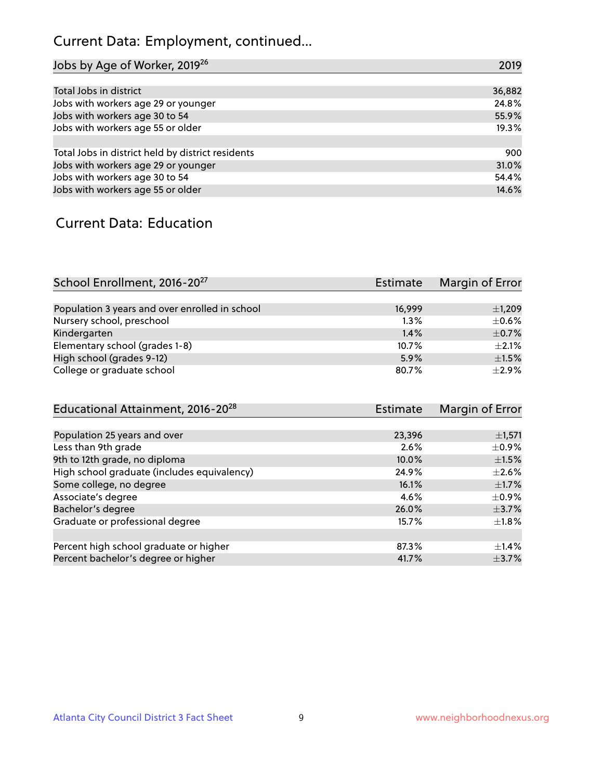# Current Data: Employment, continued...

| Jobs by Age of Worker, 2019 <sup>26</sup>         | 2019   |
|---------------------------------------------------|--------|
|                                                   |        |
| Total Jobs in district                            | 36,882 |
| Jobs with workers age 29 or younger               | 24.8%  |
| Jobs with workers age 30 to 54                    | 55.9%  |
| Jobs with workers age 55 or older                 | 19.3%  |
|                                                   |        |
| Total Jobs in district held by district residents | 900    |
| Jobs with workers age 29 or younger               | 31.0%  |
| Jobs with workers age 30 to 54                    | 54.4%  |
| Jobs with workers age 55 or older                 | 14.6%  |

#### Current Data: Education

| School Enrollment, 2016-20 <sup>27</sup>       | Estimate | Margin of Error |
|------------------------------------------------|----------|-----------------|
|                                                |          |                 |
| Population 3 years and over enrolled in school | 16,999   | $\pm$ 1,209     |
| Nursery school, preschool                      | 1.3%     | $\pm$ 0.6%      |
| Kindergarten                                   | 1.4%     | $\pm$ 0.7%      |
| Elementary school (grades 1-8)                 | 10.7%    | $\pm 2.1\%$     |
| High school (grades 9-12)                      | 5.9%     | $\pm 1.5\%$     |
| College or graduate school                     | 80.7%    | $\pm 2.9\%$     |

| Educational Attainment, 2016-20 <sup>28</sup> | <b>Estimate</b> | Margin of Error |
|-----------------------------------------------|-----------------|-----------------|
|                                               |                 |                 |
| Population 25 years and over                  | 23,396          | $\pm$ 1,571     |
| Less than 9th grade                           | 2.6%            | $\pm$ 0.9%      |
| 9th to 12th grade, no diploma                 | 10.0%           | $\pm 1.5\%$     |
| High school graduate (includes equivalency)   | 24.9%           | $\pm 2.6\%$     |
| Some college, no degree                       | 16.1%           | $\pm$ 1.7%      |
| Associate's degree                            | 4.6%            | $\pm$ 0.9%      |
| Bachelor's degree                             | 26.0%           | $\pm$ 3.7%      |
| Graduate or professional degree               | 15.7%           | $\pm 1.8\%$     |
|                                               |                 |                 |
| Percent high school graduate or higher        | 87.3%           | $\pm$ 1.4%      |
| Percent bachelor's degree or higher           | 41.7%           | $\pm$ 3.7%      |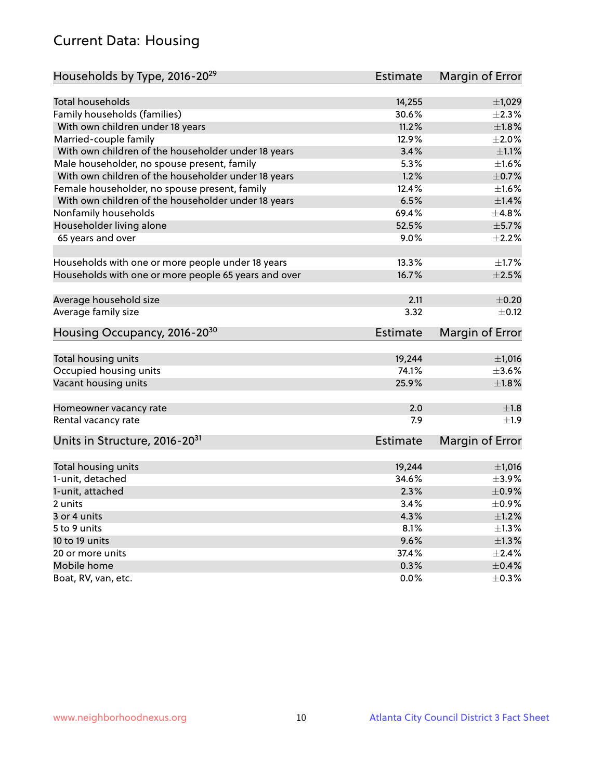# Current Data: Housing

| Households by Type, 2016-20 <sup>29</sup>            | <b>Estimate</b> | Margin of Error        |
|------------------------------------------------------|-----------------|------------------------|
|                                                      |                 |                        |
| Total households                                     | 14,255          | ±1,029                 |
| Family households (families)                         | 30.6%           | $\pm 2.3\%$            |
| With own children under 18 years                     | 11.2%           | $\pm1.8\%$             |
| Married-couple family                                | 12.9%           | $\pm 2.0\%$            |
| With own children of the householder under 18 years  | 3.4%            | $\pm 1.1\%$            |
| Male householder, no spouse present, family          | 5.3%            | $\pm 1.6\%$            |
| With own children of the householder under 18 years  | 1.2%            | $\pm$ 0.7%             |
| Female householder, no spouse present, family        | 12.4%           | $\pm 1.6\%$            |
| With own children of the householder under 18 years  | 6.5%            | $\pm$ 1.4%             |
| Nonfamily households                                 | 69.4%           | ±4.8%                  |
| Householder living alone                             | 52.5%           | $\pm$ 5.7%             |
| 65 years and over                                    | $9.0\%$         | $\pm 2.2\%$            |
|                                                      |                 |                        |
| Households with one or more people under 18 years    | 13.3%           | $\pm1.7\%$             |
| Households with one or more people 65 years and over | 16.7%           | $\pm 2.5\%$            |
| Average household size                               | 2.11            | $\pm$ 0.20             |
| Average family size                                  | 3.32            | $\pm$ 0.12             |
| Housing Occupancy, 2016-20 <sup>30</sup>             | <b>Estimate</b> | Margin of Error        |
| Total housing units                                  | 19,244          | ±1,016                 |
| Occupied housing units                               | 74.1%           | $\pm 3.6\%$            |
| Vacant housing units                                 | 25.9%           | $\pm1.8\%$             |
|                                                      |                 |                        |
| Homeowner vacancy rate                               | 2.0             | ±1.8                   |
| Rental vacancy rate                                  | 7.9             | $\pm 1.9$              |
| Units in Structure, 2016-20 <sup>31</sup>            | Estimate        | <b>Margin of Error</b> |
| Total housing units                                  | 19,244          | $\pm 1,016$            |
| 1-unit, detached                                     | 34.6%           | $\pm$ 3.9%             |
| 1-unit, attached                                     | 2.3%            | $\pm$ 0.9%             |
| 2 units                                              | 3.4%            | $\pm$ 0.9%             |
|                                                      | 4.3%            |                        |
| 3 or 4 units                                         |                 | $\pm 1.2\%$            |
| 5 to 9 units                                         | 8.1%            | $\pm 1.3\%$            |
| 10 to 19 units                                       | 9.6%            | $\pm 1.3\%$            |
| 20 or more units                                     | 37.4%           | $\pm 2.4\%$            |
| Mobile home                                          | 0.3%            | $\pm$ 0.4%             |
| Boat, RV, van, etc.                                  | $0.0\%$         | $\pm$ 0.3%             |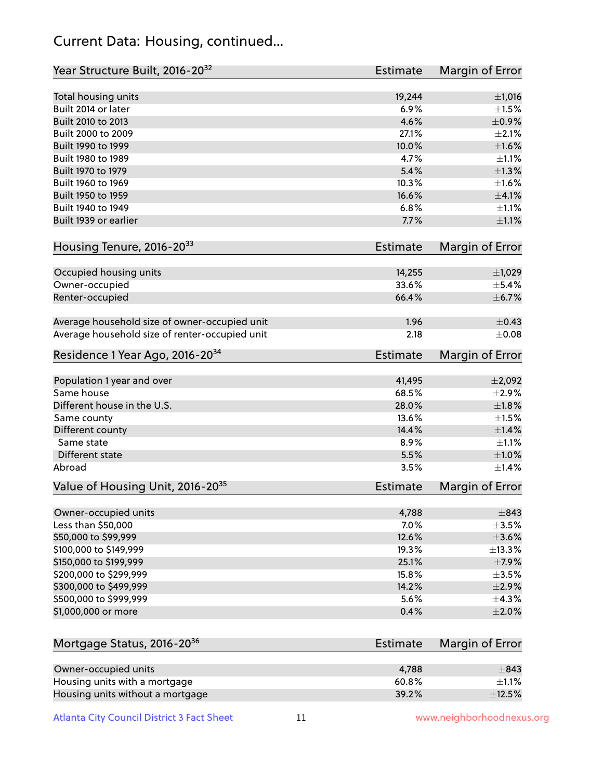## Current Data: Housing, continued...

| Year Structure Built, 2016-20 <sup>32</sup>    | Estimate        | <b>Margin of Error</b> |
|------------------------------------------------|-----------------|------------------------|
| Total housing units                            | 19,244          | $\pm$ 1,016            |
| Built 2014 or later                            | 6.9%            | $\pm1.5\%$             |
| Built 2010 to 2013                             | 4.6%            | $\pm$ 0.9%             |
| Built 2000 to 2009                             | 27.1%           | $\pm 2.1\%$            |
| Built 1990 to 1999                             | 10.0%           | $\pm1.6\%$             |
| Built 1980 to 1989                             | 4.7%            | $\pm 1.1\%$            |
| Built 1970 to 1979                             | 5.4%            | ±1.3%                  |
| Built 1960 to 1969                             | 10.3%           | $\pm1.6\%$             |
| Built 1950 to 1959                             | 16.6%           | $\pm$ 4.1%             |
| Built 1940 to 1949                             | 6.8%            | $\pm 1.1\%$            |
| Built 1939 or earlier                          | 7.7%            | $\pm 1.1\%$            |
| Housing Tenure, 2016-2033                      | Estimate        | Margin of Error        |
| Occupied housing units                         | 14,255          | ±1,029                 |
| Owner-occupied                                 | 33.6%           | $\pm$ 5.4%             |
| Renter-occupied                                | 66.4%           | ±6.7%                  |
| Average household size of owner-occupied unit  | 1.96            | $\pm$ 0.43             |
| Average household size of renter-occupied unit | 2.18            | $\pm 0.08$             |
| Residence 1 Year Ago, 2016-20 <sup>34</sup>    | <b>Estimate</b> | <b>Margin of Error</b> |
| Population 1 year and over                     | 41,495          | ±2,092                 |
| Same house                                     | 68.5%           | $\pm 2.9\%$            |
| Different house in the U.S.                    | 28.0%           | $\pm1.8\%$             |
| Same county                                    | 13.6%           | $\pm1.5\%$             |
| Different county                               | 14.4%           | ±1.4%                  |
| Same state                                     | 8.9%            | $\pm 1.1\%$            |
| Different state                                | 5.5%            | ±1.0%                  |
| Abroad                                         | 3.5%            | $\pm$ 1.4%             |
| Value of Housing Unit, 2016-20 <sup>35</sup>   | <b>Estimate</b> | Margin of Error        |
| Owner-occupied units                           | 4,788           | $\pm$ 843              |
| Less than \$50,000                             | 7.0%            | $\pm 3.5\%$            |
| \$50,000 to \$99,999                           | 12.6%           | $\pm$ 3.6%             |
| \$100,000 to \$149,999                         | 19.3%           | ±13.3%                 |
| \$150,000 to \$199,999                         | 25.1%           | $\pm$ 7.9%             |
| \$200,000 to \$299,999                         | 15.8%           | $\pm 3.5\%$            |
| \$300,000 to \$499,999                         | 14.2%           | $\pm 2.9\%$            |
| \$500,000 to \$999,999                         | 5.6%            | ±4.3%                  |
| \$1,000,000 or more                            | 0.4%            | $\pm 2.0\%$            |
| Mortgage Status, 2016-20 <sup>36</sup>         | <b>Estimate</b> | Margin of Error        |
| Owner-occupied units                           | 4,788           | $\pm$ 843              |
| Housing units with a mortgage                  | 60.8%           | $\pm 1.1\%$            |

Housing units without a mortgage  $\pm 12.5\%$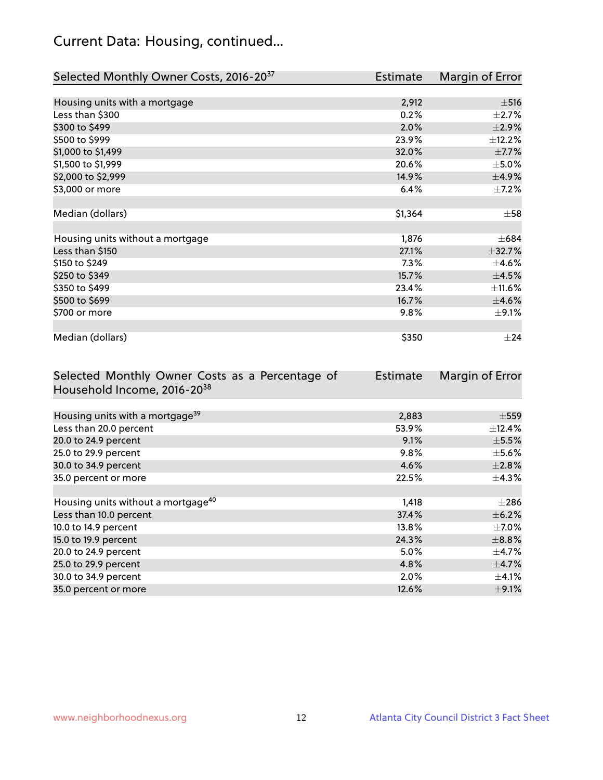# Current Data: Housing, continued...

| Selected Monthly Owner Costs, 2016-20 <sup>37</sup> | <b>Estimate</b> | Margin of Error |
|-----------------------------------------------------|-----------------|-----------------|
|                                                     |                 |                 |
| Housing units with a mortgage                       | 2,912           | $\pm$ 516       |
| Less than \$300                                     | 0.2%            | $\pm 2.7\%$     |
| \$300 to \$499                                      | 2.0%            | $\pm 2.9\%$     |
| \$500 to \$999                                      | 23.9%           | ±12.2%          |
| \$1,000 to \$1,499                                  | 32.0%           | $\pm$ 7.7%      |
| \$1,500 to \$1,999                                  | 20.6%           | $\pm$ 5.0%      |
| \$2,000 to \$2,999                                  | 14.9%           | ±4.9%           |
| \$3,000 or more                                     | 6.4%            | $\pm$ 7.2%      |
|                                                     |                 |                 |
| Median (dollars)                                    | \$1,364         | $\pm$ 58        |
|                                                     |                 |                 |
| Housing units without a mortgage                    | 1,876           | $\pm 684$       |
| Less than \$150                                     | 27.1%           | ±32.7%          |
| \$150 to \$249                                      | 7.3%            | $\pm$ 4.6%      |
| \$250 to \$349                                      | 15.7%           | $\pm 4.5\%$     |
| \$350 to \$499                                      | 23.4%           | $\pm$ 11.6%     |
| \$500 to \$699                                      | 16.7%           | $\pm 4.6\%$     |
| \$700 or more                                       | 9.8%            | $\pm$ 9.1%      |
|                                                     |                 |                 |
| Median (dollars)                                    | \$350           | $\pm 24$        |

| Selected Monthly Owner Costs as a Percentage of | Estimate | Margin of Error |
|-------------------------------------------------|----------|-----------------|
| Household Income, 2016-20 <sup>38</sup>         |          |                 |
|                                                 |          |                 |
| Housing units with a mortgage <sup>39</sup>     | 2,883    | $\pm$ 559       |
| Less than 20.0 percent                          | 53.9%    | $\pm$ 12.4%     |
| 20.0 to 24.9 percent                            | 9.1%     | $\pm$ 5.5%      |
| 25.0 to 29.9 percent                            | 9.8%     | $\pm$ 5.6%      |
| 30.0 to 34.9 percent                            | 4.6%     | $\pm 2.8\%$     |
| 35.0 percent or more                            | 22.5%    | $\pm$ 4.3%      |
|                                                 |          |                 |
| Housing units without a mortgage <sup>40</sup>  | 1,418    | $\pm 286$       |
| Less than 10.0 percent                          | 37.4%    | $\pm$ 6.2%      |
| 10.0 to 14.9 percent                            | 13.8%    | $\pm$ 7.0%      |
| 15.0 to 19.9 percent                            | 24.3%    | $\pm$ 8.8%      |
| 20.0 to 24.9 percent                            | $5.0\%$  | $\pm$ 4.7%      |
| 25.0 to 29.9 percent                            | 4.8%     | $\pm$ 4.7%      |
| 30.0 to 34.9 percent                            | $2.0\%$  | $\pm$ 4.1%      |
| 35.0 percent or more                            | 12.6%    | $\pm$ 9.1%      |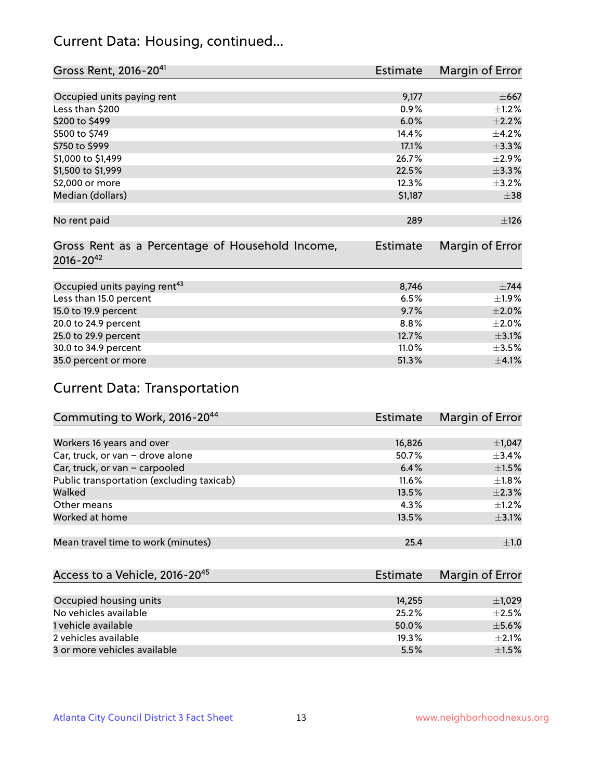## Current Data: Housing, continued...

| Gross Rent, 2016-20 <sup>41</sup>               | <b>Estimate</b> | Margin of Error |
|-------------------------------------------------|-----------------|-----------------|
|                                                 |                 |                 |
| Occupied units paying rent                      | 9,177           | $\pm$ 667       |
| Less than \$200                                 | 0.9%            | $\pm$ 1.2%      |
| \$200 to \$499                                  | 6.0%            | $\pm 2.2\%$     |
| \$500 to \$749                                  | 14.4%           | $\pm$ 4.2%      |
| \$750 to \$999                                  | 17.1%           | ±3.3%           |
| \$1,000 to \$1,499                              | 26.7%           | $\pm$ 2.9%      |
| \$1,500 to \$1,999                              | 22.5%           | ±3.3%           |
| \$2,000 or more                                 | 12.3%           | $\pm$ 3.2%      |
| Median (dollars)                                | \$1,187         | $\pm$ 38        |
|                                                 |                 |                 |
| No rent paid                                    | 289             | ±126            |
|                                                 |                 |                 |
| Gross Rent as a Percentage of Household Income, | <b>Estimate</b> | Margin of Error |
| $2016 - 20^{42}$                                |                 |                 |
|                                                 |                 |                 |
| Occupied units paying rent <sup>43</sup>        | 8,746           | $\pm$ 744       |
| Less than 15.0 percent                          | 6.5%            | ±1.9%           |
| 15.0 to 19.9 percent                            | 9.7%            | $\pm 2.0\%$     |
| 20.0 to 24.9 percent                            | 8.8%            | $\pm 2.0\%$     |
| 25.0 to 29.9 percent                            | 12.7%           | $\pm$ 3.1%      |
| 30.0 to 34.9 percent                            | 11.0%           | $\pm$ 3.5%      |
| 35.0 percent or more                            | 51.3%           | $\pm$ 4.1%      |

# Current Data: Transportation

| Commuting to Work, 2016-20 <sup>44</sup>  | <b>Estimate</b> | Margin of Error |
|-------------------------------------------|-----------------|-----------------|
|                                           |                 |                 |
| Workers 16 years and over                 | 16,826          | $\pm$ 1,047     |
| Car, truck, or van - drove alone          | 50.7%           | $\pm$ 3.4%      |
| Car, truck, or van - carpooled            | 6.4%            | $\pm 1.5\%$     |
| Public transportation (excluding taxicab) | $11.6\%$        | $\pm 1.8\%$     |
| Walked                                    | 13.5%           | $\pm 2.3\%$     |
| Other means                               | 4.3%            | $\pm 1.2\%$     |
| Worked at home                            | 13.5%           | $\pm$ 3.1%      |
|                                           |                 |                 |
| Mean travel time to work (minutes)        | 25.4            | $\pm 1.0$       |

| Access to a Vehicle, 2016-20 <sup>45</sup> | Estimate | <b>Margin of Error</b> |
|--------------------------------------------|----------|------------------------|
|                                            |          |                        |
| Occupied housing units                     | 14,255   | $\pm$ 1,029            |
| No vehicles available                      | 25.2%    | $\pm 2.5\%$            |
| 1 vehicle available                        | 50.0%    | $\pm$ 5.6%             |
| 2 vehicles available                       | 19.3%    | $+2.1%$                |
| 3 or more vehicles available               | 5.5%     | $+1.5%$                |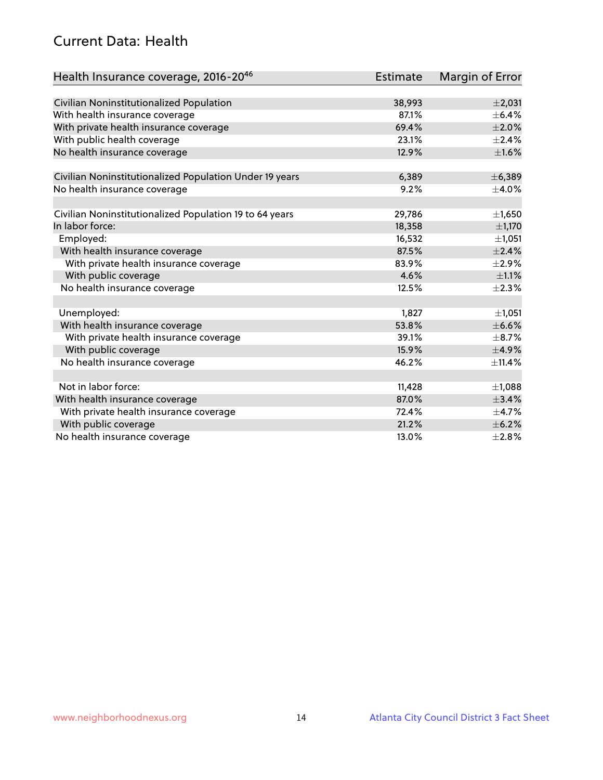## Current Data: Health

| Health Insurance coverage, 2016-2046                    | <b>Estimate</b> | Margin of Error |
|---------------------------------------------------------|-----------------|-----------------|
|                                                         |                 |                 |
| Civilian Noninstitutionalized Population                | 38,993          | $\pm 2,031$     |
| With health insurance coverage                          | 87.1%           | $\pm$ 6.4%      |
| With private health insurance coverage                  | 69.4%           | $\pm 2.0\%$     |
| With public health coverage                             | 23.1%           | $\pm 2.4\%$     |
| No health insurance coverage                            | 12.9%           | $\pm1.6\%$      |
| Civilian Noninstitutionalized Population Under 19 years | 6,389           | ± 6,389         |
| No health insurance coverage                            | 9.2%            | $\pm$ 4.0%      |
|                                                         |                 |                 |
| Civilian Noninstitutionalized Population 19 to 64 years | 29,786          | $\pm$ 1,650     |
| In labor force:                                         | 18,358          | $\pm$ 1,170     |
| Employed:                                               | 16,532          | ±1,051          |
| With health insurance coverage                          | 87.5%           | ±2.4%           |
| With private health insurance coverage                  | 83.9%           | $\pm 2.9\%$     |
| With public coverage                                    | 4.6%            | $\pm 1.1\%$     |
| No health insurance coverage                            | 12.5%           | $\pm 2.3\%$     |
|                                                         |                 |                 |
| Unemployed:                                             | 1,827           | ±1,051          |
| With health insurance coverage                          | 53.8%           | $\pm$ 6.6%      |
| With private health insurance coverage                  | 39.1%           | $\pm$ 8.7%      |
| With public coverage                                    | 15.9%           | $\pm$ 4.9%      |
| No health insurance coverage                            | 46.2%           | ±11.4%          |
|                                                         |                 |                 |
| Not in labor force:                                     | 11,428          | $\pm$ 1,088     |
| With health insurance coverage                          | 87.0%           | ±3.4%           |
| With private health insurance coverage                  | 72.4%           | $\pm$ 4.7%      |
| With public coverage                                    | 21.2%           | $\pm$ 6.2%      |
| No health insurance coverage                            | 13.0%           | ±2.8%           |